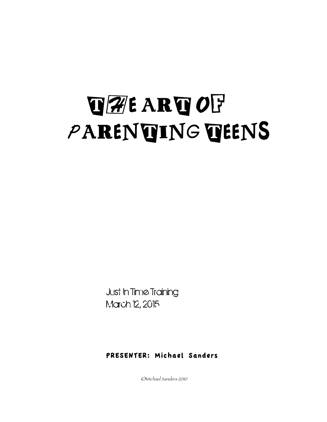## **THE ART OF** PARENTING TEENS

Just In Time Training March 12, 2015

#### PRESENTER: Michael Sanders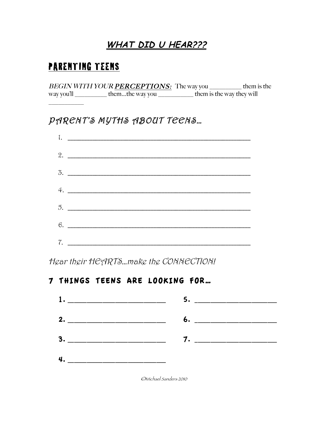### **WHAT DID U HEAR???**

### **PARENTING TEENS**

BEGIN WITH YOUR PERCEPTIONS: The way you them is the way you'll \_\_\_\_\_\_\_\_\_\_\_\_\_ them...the way you \_\_\_\_\_\_\_\_\_\_\_\_\_\_\_\_ them is the way they will

### PARENT'S MYTHS ABOUT TEENS...



Hear their HEARTS...make the CONNECTION!

### 7 THINGS TEENS ARE LOOKING FOR...

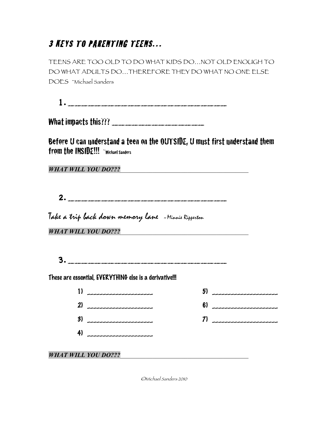### 3 KEYS TO PARENTING TEENS…

TEENS ARE TOO OLD TO DO WHAT KIDS DO…NOT OLD ENOUGH TO DO WHAT ADULTS DO…THEREFORE THEY DO WHAT NO ONE ELSE DOES ~Michael Sanders

1.\_\_\_\_\_\_\_\_\_\_\_\_\_\_\_\_\_\_\_\_\_\_\_\_

What impacts this??? \_\_\_\_\_\_\_\_\_\_\_\_\_\_

Before U can understand a teen on the OUTSIDE, U must first understand them from the INSIDE!!! ~Michael Sanders

*WHAT WILL YOU DO???*\_\_\_\_\_\_\_\_\_\_\_\_\_\_\_\_\_\_\_\_\_\_\_\_\_\_\_\_\_\_\_\_\_\_\_\_\_\_\_\_

2.\_\_\_\_\_\_\_\_\_\_\_\_\_\_\_\_\_\_\_\_\_\_\_\_

Take a trip back down memory lane ~Minnie Ripperton

| <b>WHAT WILL YOU DO???</b> |
|----------------------------|
|----------------------------|

3.\_\_\_\_\_\_\_\_\_\_\_\_\_\_\_\_\_\_\_\_\_\_\_\_

These are essential, EVERYTHING else is a derivative!!!

|                            | 5) ______________________ |
|----------------------------|---------------------------|
| 2) _____________________   | 6) ______________________ |
| 3) _____________________   |                           |
| 4) _______________________ |                           |
|                            |                           |

**WHAT WILL YOU DO???**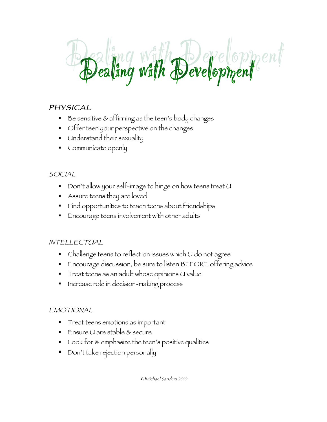# Dealing with Development

### PHYSICAL

- § Be sensitive & affirming as the teen's body changes
- § Offer teen your perspective on the changes
- § Understand their sexuality
- Communicate openly

### **SOCIAL**

- § Don't allow your self-image to hinge on how teens treat U
- § Assure teens they are loved
- § Find opportunities to teach teens about friendships
- § Encourage teens involvement with other adults

### INTELLECTUAL

- Challenge teens to reflect on issues which U do not agree
- § Encourage discussion, be sure to listen BEFORE offering advice
- Treat teens as an adult whose opinions U value
- Increase role in decision-making process

### **EMOTIONAL**

- § Treat teens emotions as important
- § Ensure U are stable & secure
- Look for & emphasize the teen's positive qualities
- § Don't take rejection personally